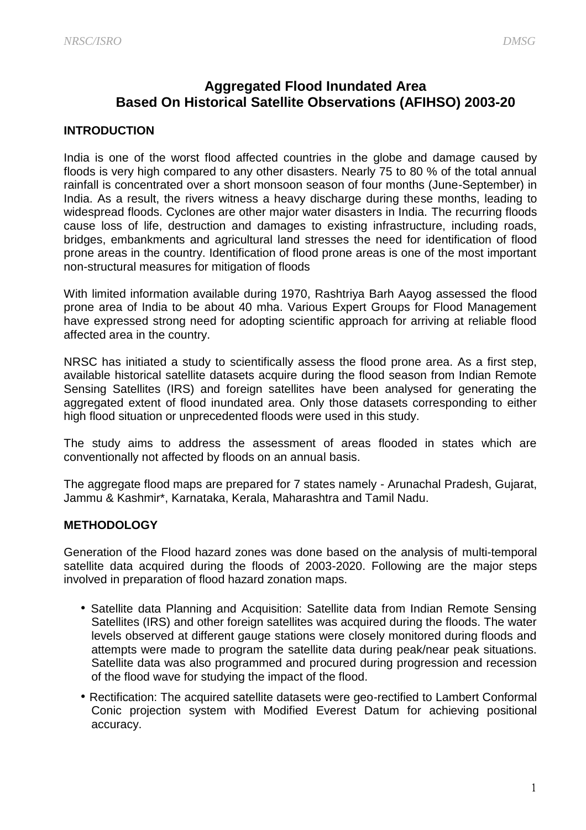# **Aggregated Flood Inundated Area Based On Historical Satellite Observations (AFIHSO) 2003-20**

### **INTRODUCTION**

India is one of the worst flood affected countries in the globe and damage caused by floods is very high compared to any other disasters. Nearly 75 to 80 % of the total annual rainfall is concentrated over a short monsoon season of four months (June-September) in India. As a result, the rivers witness a heavy discharge during these months, leading to widespread floods. Cyclones are other major water disasters in India. The recurring floods cause loss of life, destruction and damages to existing infrastructure, including roads, bridges, embankments and agricultural land stresses the need for identification of flood prone areas in the country. Identification of flood prone areas is one of the most important non-structural measures for mitigation of floods

With limited information available during 1970, Rashtriya Barh Aayog assessed the flood prone area of India to be about 40 mha. Various Expert Groups for Flood Management have expressed strong need for adopting scientific approach for arriving at reliable flood affected area in the country.

NRSC has initiated a study to scientifically assess the flood prone area. As a first step, available historical satellite datasets acquire during the flood season from Indian Remote Sensing Satellites (IRS) and foreign satellites have been analysed for generating the aggregated extent of flood inundated area. Only those datasets corresponding to either high flood situation or unprecedented floods were used in this study.

The study aims to address the assessment of areas flooded in states which are conventionally not affected by floods on an annual basis.

The aggregate flood maps are prepared for 7 states namely - Arunachal Pradesh, Gujarat, Jammu & Kashmir\*, Karnataka, Kerala, Maharashtra and Tamil Nadu.

#### **METHODOLOGY**

Generation of the Flood hazard zones was done based on the analysis of multi-temporal satellite data acquired during the floods of 2003-2020. Following are the major steps involved in preparation of flood hazard zonation maps.

- Satellite data Planning and Acquisition: Satellite data from Indian Remote Sensing Satellites (IRS) and other foreign satellites was acquired during the floods. The water levels observed at different gauge stations were closely monitored during floods and attempts were made to program the satellite data during peak/near peak situations. Satellite data was also programmed and procured during progression and recession of the flood wave for studying the impact of the flood.
- Rectification: The acquired satellite datasets were geo-rectified to Lambert Conformal Conic projection system with Modified Everest Datum for achieving positional accuracy.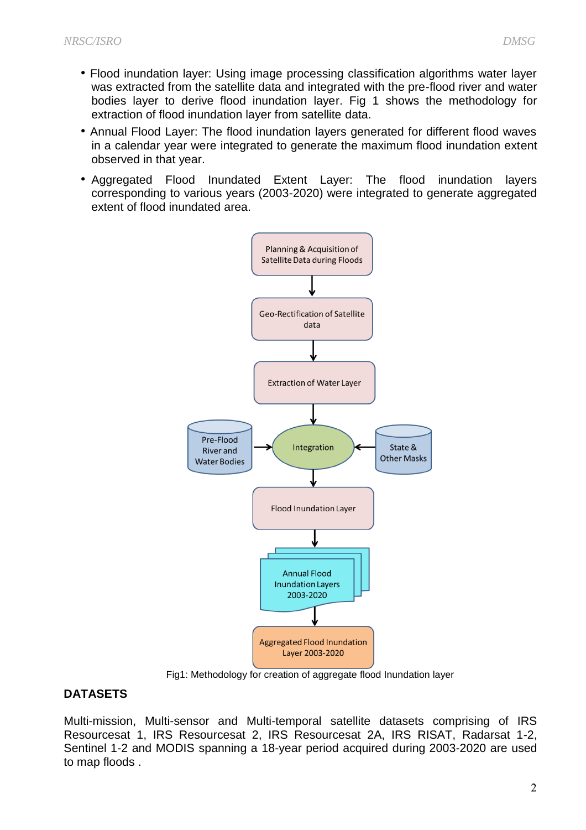- Flood inundation layer: Using image processing classification algorithms water layer was extracted from the satellite data and integrated with the pre-flood river and water bodies layer to derive flood inundation layer. Fig 1 shows the methodology for extraction of flood inundation layer from satellite data.
- Annual Flood Layer: The flood inundation layers generated for different flood waves in a calendar year were integrated to generate the maximum flood inundation extent observed in that year.
- Aggregated Flood Inundated Extent Layer: The flood inundation layers corresponding to various years (2003-2020) were integrated to generate aggregated extent of flood inundated area.



Fig1: Methodology for creation of aggregate flood Inundation layer

## **DATASETS**

Multi-mission, Multi-sensor and Multi-temporal satellite datasets comprising of IRS Resourcesat 1, IRS Resourcesat 2, IRS Resourcesat 2A, IRS RISAT, Radarsat 1-2, Sentinel 1-2 and MODIS spanning a 18-year period acquired during 2003-2020 are used to map floods .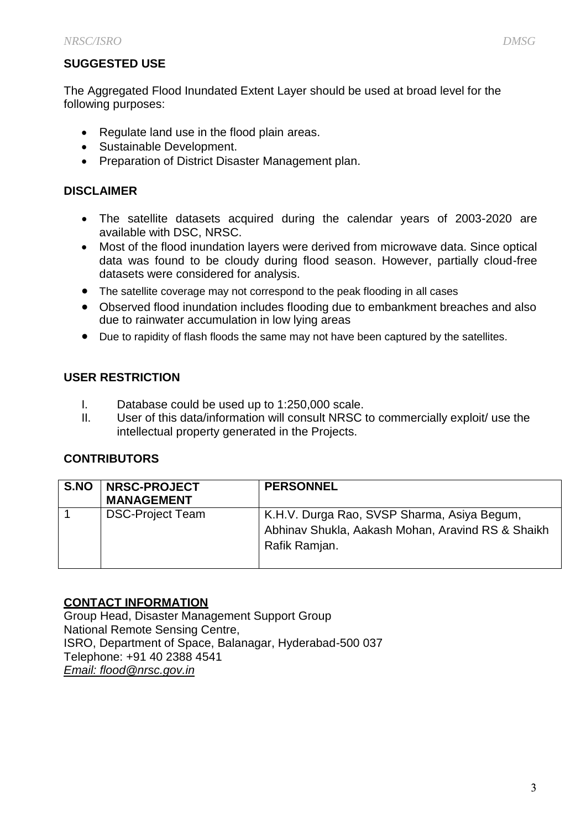# **SUGGESTED USE**

The Aggregated Flood Inundated Extent Layer should be used at broad level for the following purposes:

- Regulate land use in the flood plain areas.
- Sustainable Development.
- Preparation of District Disaster Management plan.

### **DISCLAIMER**

- The satellite datasets acquired during the calendar years of 2003-2020 are available with DSC, NRSC.
- Most of the flood inundation layers were derived from microwave data. Since optical data was found to be cloudy during flood season. However, partially cloud-free datasets were considered for analysis.
- The satellite coverage may not correspond to the peak flooding in all cases
- Observed flood inundation includes flooding due to embankment breaches and also due to rainwater accumulation in low lying areas
- Due to rapidity of flash floods the same may not have been captured by the satellites.

### **USER RESTRICTION**

- I. Database could be used up to 1:250,000 scale.
- II. User of this data/information will consult NRSC to commercially exploit/ use the intellectual property generated in the Projects.

### **CONTRIBUTORS**

| S.NO | <b>NRSC-PROJECT</b><br><b>MANAGEMENT</b> | <b>PERSONNEL</b>                                                                                                  |
|------|------------------------------------------|-------------------------------------------------------------------------------------------------------------------|
|      | <b>DSC-Project Team</b>                  | K.H.V. Durga Rao, SVSP Sharma, Asiya Begum,<br>Abhinav Shukla, Aakash Mohan, Aravind RS & Shaikh<br>Rafik Ramjan. |

#### **CONTACT INFORMATION**

Group Head, Disaster Management Support Group National Remote Sensing Centre, ISRO, Department of Space, Balanagar, Hyderabad-500 037 Telephone: +91 40 2388 4541 *[Email: flood@nrsc.gov.in](mailto:ddapp@nrsc.gov.in)*